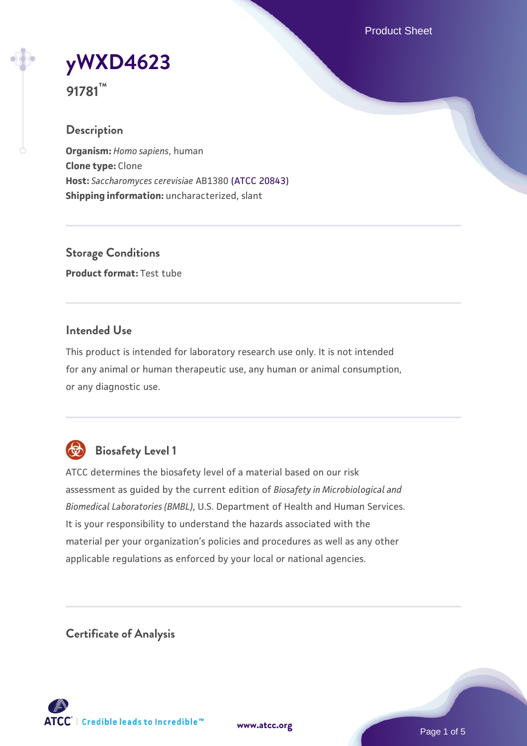Product Sheet

**[yWXD4623](https://www.atcc.org/products/91781)**

**91781™**

### **Description**

**Organism:** *Homo sapiens*, human **Clone type:** Clone **Host:** *Saccharomyces cerevisiae* AB1380 [\(ATCC 20843\)](https://www.atcc.org/products/20843) **Shipping information:** uncharacterized, slant

**Storage Conditions Product format:** Test tube

### **Intended Use**

This product is intended for laboratory research use only. It is not intended for any animal or human therapeutic use, any human or animal consumption, or any diagnostic use.



# **Biosafety Level 1**

ATCC determines the biosafety level of a material based on our risk assessment as guided by the current edition of *Biosafety in Microbiological and Biomedical Laboratories (BMBL)*, U.S. Department of Health and Human Services. It is your responsibility to understand the hazards associated with the material per your organization's policies and procedures as well as any other applicable regulations as enforced by your local or national agencies.

**Certificate of Analysis**

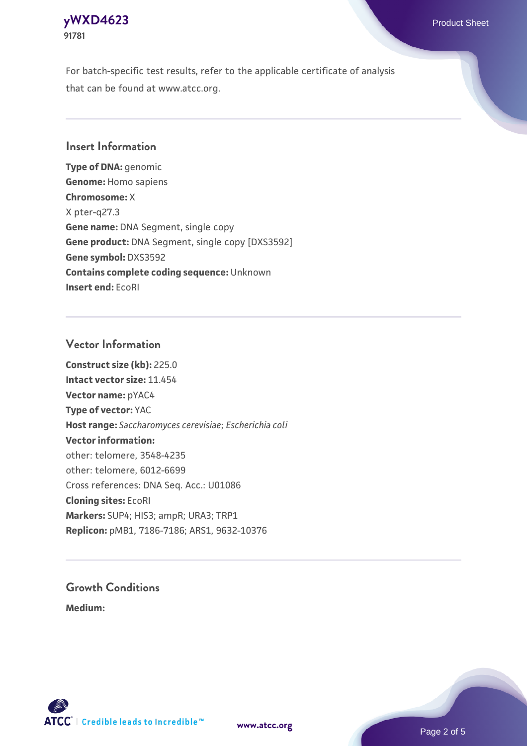# **[yWXD4623](https://www.atcc.org/products/91781)** Product Sheet **91781**

For batch-specific test results, refer to the applicable certificate of analysis that can be found at www.atcc.org.

### **Insert Information**

**Type of DNA:** genomic **Genome:** Homo sapiens **Chromosome:** X X pter-q27.3 **Gene name:** DNA Segment, single copy **Gene product:** DNA Segment, single copy [DXS3592] **Gene symbol:** DXS3592 **Contains complete coding sequence:** Unknown **Insert end:** EcoRI

### **Vector Information**

**Construct size (kb):** 225.0 **Intact vector size:** 11.454 **Vector name:** pYAC4 **Type of vector:** YAC **Host range:** *Saccharomyces cerevisiae*; *Escherichia coli* **Vector information:** other: telomere, 3548-4235 other: telomere, 6012-6699 Cross references: DNA Seq. Acc.: U01086 **Cloning sites:** EcoRI **Markers:** SUP4; HIS3; ampR; URA3; TRP1 **Replicon:** pMB1, 7186-7186; ARS1, 9632-10376

# **Growth Conditions**

**Medium:** 



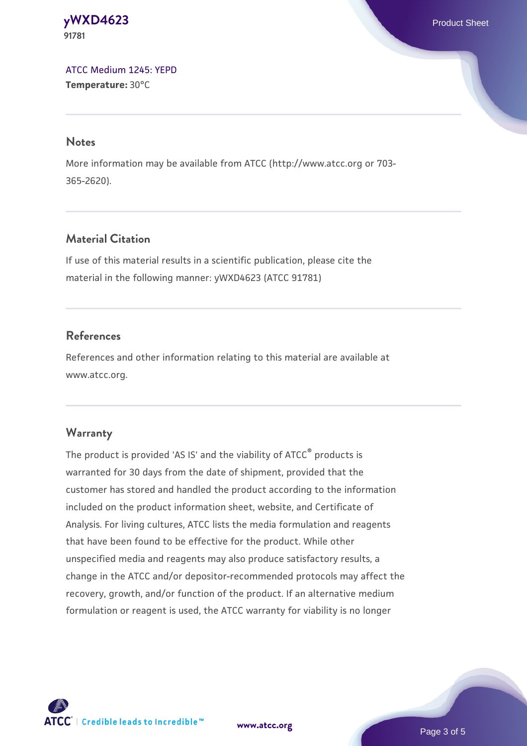### **[yWXD4623](https://www.atcc.org/products/91781)** Product Sheet **91781**

[ATCC Medium 1245: YEPD](https://www.atcc.org/-/media/product-assets/documents/microbial-media-formulations/1/2/4/5/atcc-medium-1245.pdf?rev=705ca55d1b6f490a808a965d5c072196) **Temperature:** 30°C

#### **Notes**

More information may be available from ATCC (http://www.atcc.org or 703- 365-2620).

# **Material Citation**

If use of this material results in a scientific publication, please cite the material in the following manner: yWXD4623 (ATCC 91781)

## **References**

References and other information relating to this material are available at www.atcc.org.

## **Warranty**

The product is provided 'AS IS' and the viability of ATCC® products is warranted for 30 days from the date of shipment, provided that the customer has stored and handled the product according to the information included on the product information sheet, website, and Certificate of Analysis. For living cultures, ATCC lists the media formulation and reagents that have been found to be effective for the product. While other unspecified media and reagents may also produce satisfactory results, a change in the ATCC and/or depositor-recommended protocols may affect the recovery, growth, and/or function of the product. If an alternative medium formulation or reagent is used, the ATCC warranty for viability is no longer



**[www.atcc.org](http://www.atcc.org)**

Page 3 of 5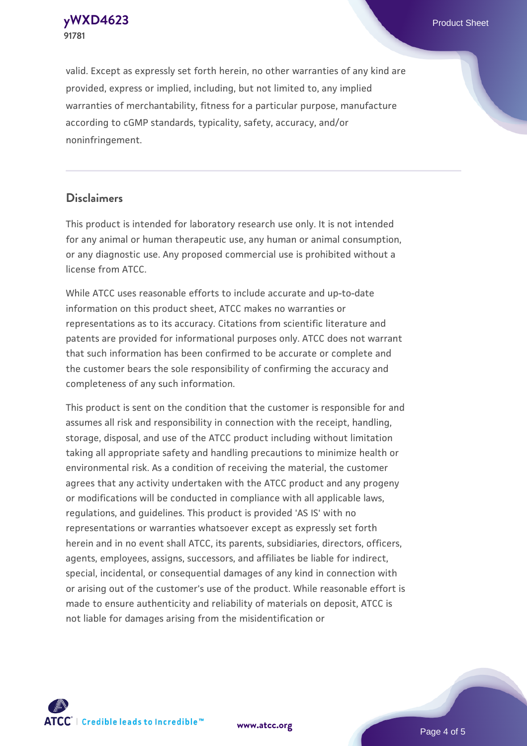**[yWXD4623](https://www.atcc.org/products/91781)** Product Sheet **91781**

valid. Except as expressly set forth herein, no other warranties of any kind are provided, express or implied, including, but not limited to, any implied warranties of merchantability, fitness for a particular purpose, manufacture according to cGMP standards, typicality, safety, accuracy, and/or noninfringement.

#### **Disclaimers**

This product is intended for laboratory research use only. It is not intended for any animal or human therapeutic use, any human or animal consumption, or any diagnostic use. Any proposed commercial use is prohibited without a license from ATCC.

While ATCC uses reasonable efforts to include accurate and up-to-date information on this product sheet, ATCC makes no warranties or representations as to its accuracy. Citations from scientific literature and patents are provided for informational purposes only. ATCC does not warrant that such information has been confirmed to be accurate or complete and the customer bears the sole responsibility of confirming the accuracy and completeness of any such information.

This product is sent on the condition that the customer is responsible for and assumes all risk and responsibility in connection with the receipt, handling, storage, disposal, and use of the ATCC product including without limitation taking all appropriate safety and handling precautions to minimize health or environmental risk. As a condition of receiving the material, the customer agrees that any activity undertaken with the ATCC product and any progeny or modifications will be conducted in compliance with all applicable laws, regulations, and guidelines. This product is provided 'AS IS' with no representations or warranties whatsoever except as expressly set forth herein and in no event shall ATCC, its parents, subsidiaries, directors, officers, agents, employees, assigns, successors, and affiliates be liable for indirect, special, incidental, or consequential damages of any kind in connection with or arising out of the customer's use of the product. While reasonable effort is made to ensure authenticity and reliability of materials on deposit, ATCC is not liable for damages arising from the misidentification or



**[www.atcc.org](http://www.atcc.org)**

Page 4 of 5